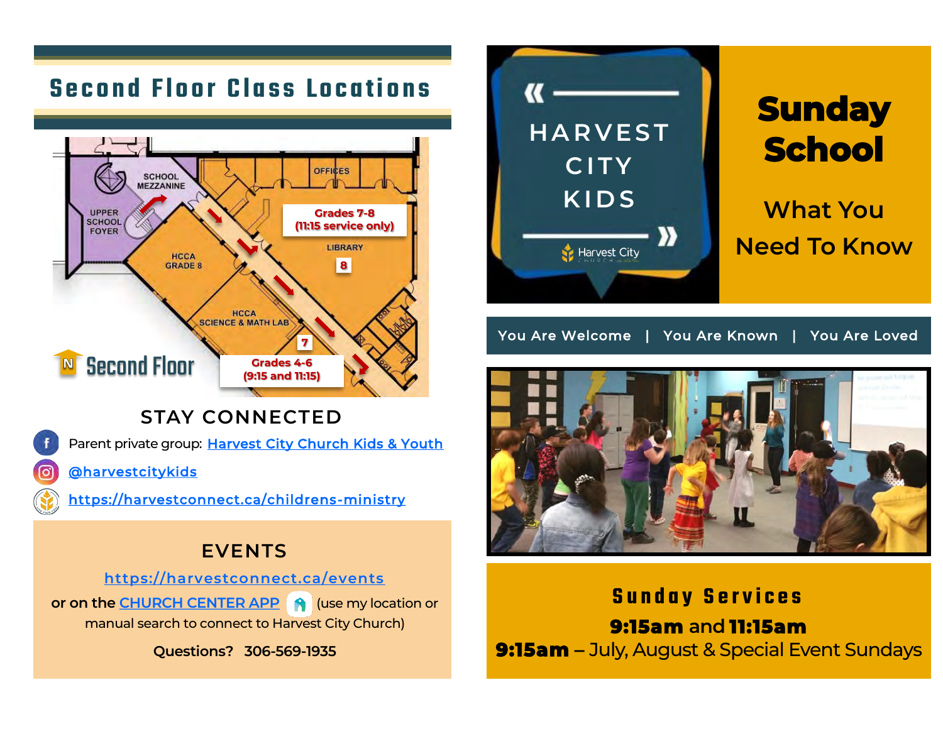# **Second Floor Class Locations**



**STAY CONNECTED**

Parent private group: [Harvest City Church Kids & Youth](https://www.facebook.com/groups/221519249205236)

[@harvestcitykids](https://www.instagram.com/harvestcitykids/)

[https://harvestconnect.ca/childrens](https://harvestconnect.ca/childrens-ministry/)-ministry

## **EVENTS**

**[https://harvestconnect.ca/events](https://harvestconnect.ca/events/) or on the [CHURCH CENTER APP](http://onelink.to/hccchurchcenter) 8 (use my location or** manual search to connect to Harvest City Church)

**Questions? 306-569-1935**



You Are Welcome | You Are Known | You Are Loved



**S u n d a y S e r v i c e s 9:15am and 11:15am 9:15am** – July, August & Special Event Sundays